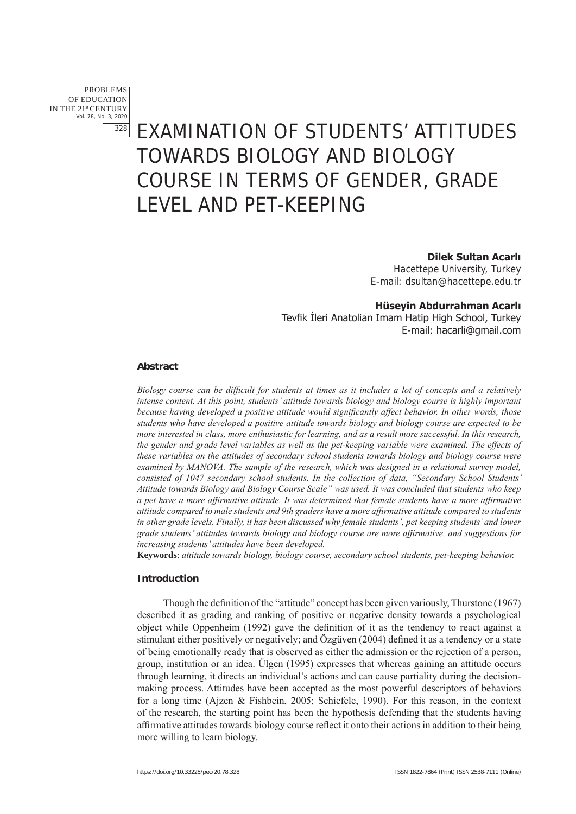PROBLEMS OF EDUCATION IN THE 21st CENTURY Vol. 78, No. 3, 2020 328

# EXAMINATION OF STUDENTS' ATTITUDES TOWARDS BIOLOGY AND BIOLOGY COURSE IN TERMS OF GENDER, GRADE LEVEL AND PET-KEEPING

**Dilek Sultan Acarlı** Hacettepe University, Turkey E-mail: dsultan@hacettepe.edu.tr

**Hüseyin Abdurrahman Acarlı** Tevfik İleri Anatolian Imam Hatip High School, Turkey

E-mail: hacarli@gmail.com

## **Abstract**

*Biology course can be difficult for students at times as it includes a lot of concepts and a relatively intense content. At this point, students' attitude towards biology and biology course is highly important because having developed a positive attitude would significantly affect behavior. In other words, those students who have developed a positive attitude towards biology and biology course are expected to be more interested in class, more enthusiastic for learning, and as a result more successful. In this research, the gender and grade level variables as well as the pet-keeping variable were examined. The effects of these variables on the attitudes of secondary school students towards biology and biology course were examined by MANOVA. The sample of the research, which was designed in a relational survey model, consisted of 1047 secondary school students. In the collection of data, "Secondary School Students' Attitude towards Biology and Biology Course Scale" was used. It was concluded that students who keep a pet have a more affirmative attitude. It was determined that female students have a more affirmative attitude compared to male students and 9th graders have a more affirmative attitude compared to students in other grade levels. Finally, it has been discussed why female students', pet keeping students' and lower grade students' attitudes towards biology and biology course are more affirmative, and suggestions for increasing students' attitudes have been developed.*

**Keywords**: *attitude towards biology, biology course, secondary school students, pet-keeping behavior.*

## **Introduction**

Though the definition of the "attitude" concept has been given variously, Thurstone (1967) described it as grading and ranking of positive or negative density towards a psychological object while Oppenheim (1992) gave the definition of it as the tendency to react against a stimulant either positively or negatively; and Özgüven (2004) defined it as a tendency or a state of being emotionally ready that is observed as either the admission or the rejection of a person, group, institution or an idea. Ülgen (1995) expresses that whereas gaining an attitude occurs through learning, it directs an individual's actions and can cause partiality during the decisionmaking process. Attitudes have been accepted as the most powerful descriptors of behaviors for a long time (Ajzen & Fishbein, 2005; Schiefele, 1990). For this reason, in the context of the research, the starting point has been the hypothesis defending that the students having affirmative attitudes towards biology course reflect it onto their actions in addition to their being more willing to learn biology.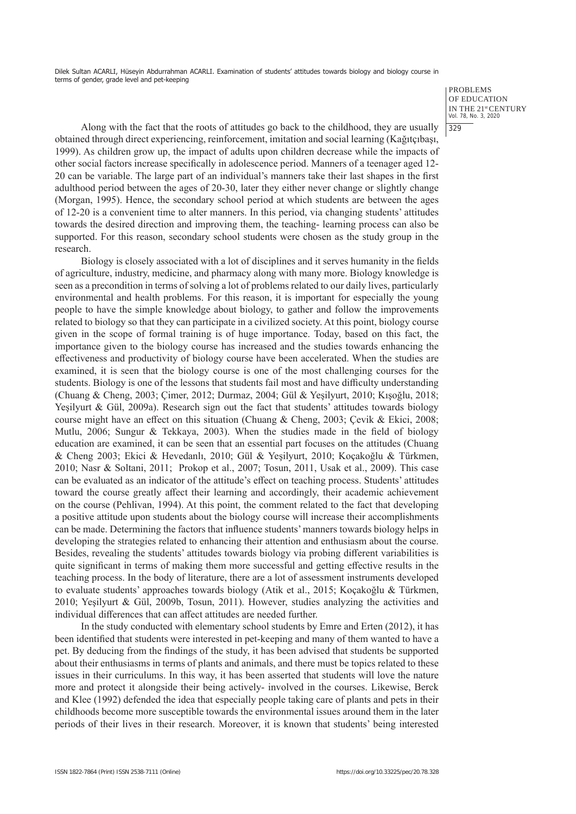> PROBLEMS OF EDUCATION IN THE 21st CENTURY Vol. 78, No. 3, 2020 329

Along with the fact that the roots of attitudes go back to the childhood, they are usually obtained through direct experiencing, reinforcement, imitation and social learning (Kağıtçıbaşı, 1999). As children grow up, the impact of adults upon children decrease while the impacts of other social factors increase specifically in adolescence period. Manners of a teenager aged 12- 20 can be variable. The large part of an individual's manners take their last shapes in the first adulthood period between the ages of 20-30, later they either never change or slightly change (Morgan, 1995). Hence, the secondary school period at which students are between the ages of 12-20 is a convenient time to alter manners. In this period, via changing students' attitudes towards the desired direction and improving them, the teaching- learning process can also be supported. For this reason, secondary school students were chosen as the study group in the research.

Biology is closely associated with a lot of disciplines and it serves humanity in the fields of agriculture, industry, medicine, and pharmacy along with many more. Biology knowledge is seen as a precondition in terms of solving a lot of problems related to our daily lives, particularly environmental and health problems. For this reason, it is important for especially the young people to have the simple knowledge about biology, to gather and follow the improvements related to biology so that they can participate in a civilized society. At this point, biology course given in the scope of formal training is of huge importance. Today, based on this fact, the importance given to the biology course has increased and the studies towards enhancing the effectiveness and productivity of biology course have been accelerated. When the studies are examined, it is seen that the biology course is one of the most challenging courses for the students. Biology is one of the lessons that students fail most and have difficulty understanding (Chuang & Cheng, 2003; Çimer, 2012; Durmaz, 2004; Gül & Yeşilyurt, 2010; Kışoğlu, 2018; Yeşilyurt & Gül, 2009a). Research sign out the fact that students' attitudes towards biology course might have an effect on this situation (Chuang & Cheng, 2003; Çevik & Ekici, 2008; Mutlu, 2006; Sungur & Tekkaya, 2003). When the studies made in the field of biology education are examined, it can be seen that an essential part focuses on the attitudes (Chuang & Cheng 2003; Ekici & Hevedanlı, 2010; Gül & Yeşilyurt, 2010; Koçakoğlu & Türkmen, 2010; Nasr & Soltani, 2011; Prokop et al., 2007; Tosun, 2011, Usak et al., 2009). This case can be evaluated as an indicator of the attitude's effect on teaching process. Students' attitudes toward the course greatly affect their learning and accordingly, their academic achievement on the course (Pehlivan, 1994). At this point, the comment related to the fact that developing a positive attitude upon students about the biology course will increase their accomplishments can be made. Determining the factors that influence students' manners towards biology helps in developing the strategies related to enhancing their attention and enthusiasm about the course. Besides, revealing the students' attitudes towards biology via probing different variabilities is quite significant in terms of making them more successful and getting effective results in the teaching process. In the body of literature, there are a lot of assessment instruments developed to evaluate students' approaches towards biology (Atik et al., 2015; Koçakoğlu & Türkmen, 2010; Yeşilyurt & Gül, 2009b, Tosun, 2011). However, studies analyzing the activities and individual differences that can affect attitudes are needed further.

In the study conducted with elementary school students by Emre and Erten (2012), it has been identified that students were interested in pet-keeping and many of them wanted to have a pet. By deducing from the findings of the study, it has been advised that students be supported about their enthusiasms in terms of plants and animals, and there must be topics related to these issues in their curriculums. In this way, it has been asserted that students will love the nature more and protect it alongside their being actively- involved in the courses. Likewise, Berck and Klee (1992) defended the idea that especially people taking care of plants and pets in their childhoods become more susceptible towards the environmental issues around them in the later periods of their lives in their research. Moreover, it is known that students' being interested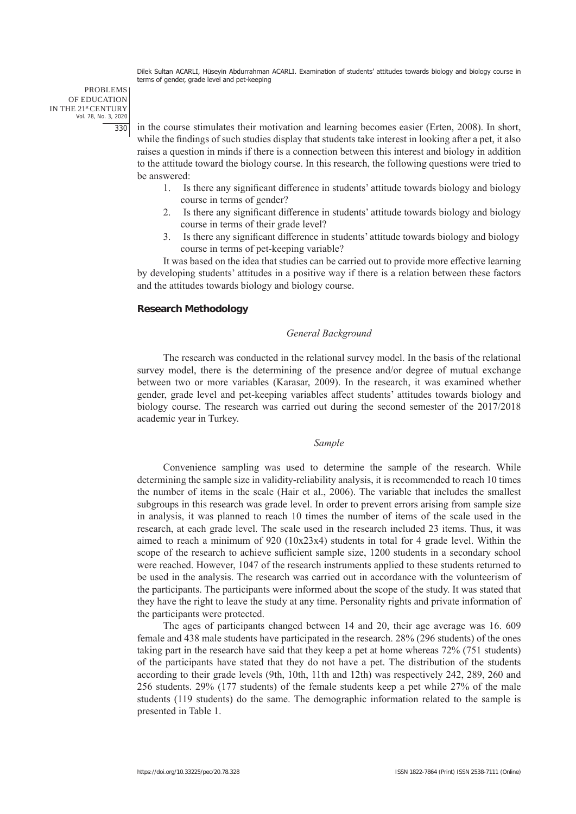PROBLEMS OF EDUCATION IN THE 21st CENTURY Vol. 78, No. 3, 2020 330

in the course stimulates their motivation and learning becomes easier (Erten, 2008). In short, while the findings of such studies display that students take interest in looking after a pet, it also raises a question in minds if there is a connection between this interest and biology in addition to the attitude toward the biology course. In this research, the following questions were tried to be answered:

- 1. Is there any significant difference in students' attitude towards biology and biology course in terms of gender?
- 2. Is there any significant difference in students' attitude towards biology and biology course in terms of their grade level?
- 3. Is there any significant difference in students' attitude towards biology and biology course in terms of pet-keeping variable?

It was based on the idea that studies can be carried out to provide more effective learning by developing students' attitudes in a positive way if there is a relation between these factors and the attitudes towards biology and biology course.

#### **Research Methodology**

#### *General Background*

The research was conducted in the relational survey model. In the basis of the relational survey model, there is the determining of the presence and/or degree of mutual exchange between two or more variables (Karasar, 2009). In the research, it was examined whether gender, grade level and pet-keeping variables affect students' attitudes towards biology and biology course. The research was carried out during the second semester of the 2017/2018 academic year in Turkey.

#### *Sample*

Convenience sampling was used to determine the sample of the research. While determining the sample size in validity-reliability analysis, it is recommended to reach 10 times the number of items in the scale (Hair et al., 2006). The variable that includes the smallest subgroups in this research was grade level. In order to prevent errors arising from sample size in analysis, it was planned to reach 10 times the number of items of the scale used in the research, at each grade level. The scale used in the research included 23 items. Thus, it was aimed to reach a minimum of 920 (10x23x4) students in total for 4 grade level. Within the scope of the research to achieve sufficient sample size, 1200 students in a secondary school were reached. However, 1047 of the research instruments applied to these students returned to be used in the analysis. The research was carried out in accordance with the volunteerism of the participants. The participants were informed about the scope of the study. It was stated that they have the right to leave the study at any time. Personality rights and private information of the participants were protected.

The ages of participants changed between 14 and 20, their age average was 16. 609 female and 438 male students have participated in the research. 28% (296 students) of the ones taking part in the research have said that they keep a pet at home whereas 72% (751 students) of the participants have stated that they do not have a pet. The distribution of the students according to their grade levels (9th, 10th, 11th and 12th) was respectively 242, 289, 260 and 256 students. 29% (177 students) of the female students keep a pet while 27% of the male students (119 students) do the same. The demographic information related to the sample is presented in Table 1.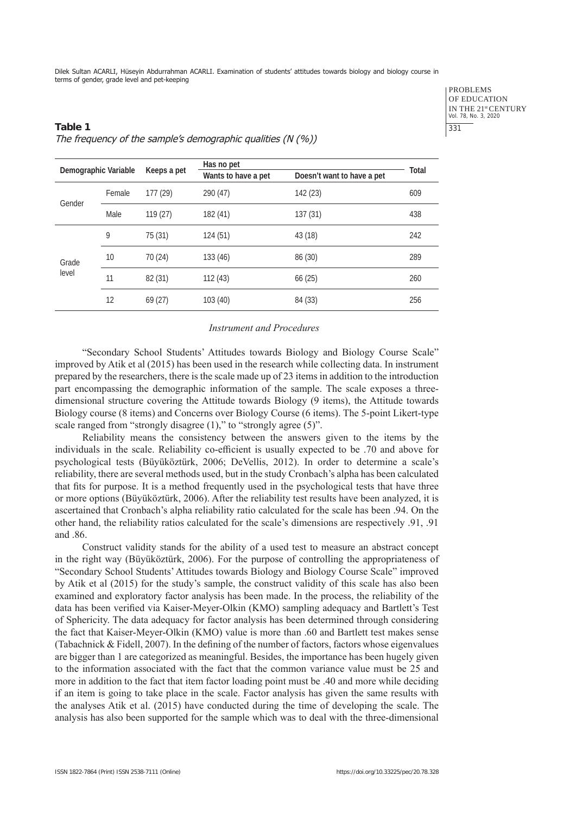> PROBLEMS OF EDUCATION IN THE 21st CENTURY Vol. 78, No. 3, 2020 331

## **Table 1** The frequency of the sample's demographic qualities (N (%))

| Demographic Variable |        |             | Has no pet          |                            | Total |
|----------------------|--------|-------------|---------------------|----------------------------|-------|
|                      |        | Keeps a pet | Wants to have a pet | Doesn't want to have a pet |       |
| Gender               | Female | 177 (29)    | 290(47)             | 142 (23)                   | 609   |
|                      | Male   | 119 (27)    | 182 (41)            | 137(31)                    | 438   |
| Grade<br>level       | 9      | 75 (31)     | 124 (51)            | 43 (18)                    | 242   |
|                      | 10     | 70 (24)     | 133(46)             | 86 (30)                    | 289   |
|                      | 11     | 82 (31)     | 112(43)             | 66(25)                     | 260   |
|                      | 12     | 69 (27)     | 103(40)             | 84 (33)                    | 256   |

#### *Instrument and Procedures*

"Secondary School Students' Attitudes towards Biology and Biology Course Scale" improved by Atik et al (2015) has been used in the research while collecting data. In instrument prepared by the researchers, there is the scale made up of 23 items in addition to the introduction part encompassing the demographic information of the sample. The scale exposes a threedimensional structure covering the Attitude towards Biology (9 items), the Attitude towards Biology course (8 items) and Concerns over Biology Course (6 items). The 5-point Likert-type scale ranged from "strongly disagree (1)," to "strongly agree (5)".

Reliability means the consistency between the answers given to the items by the individuals in the scale. Reliability co-efficient is usually expected to be .70 and above for psychological tests (Büyüköztürk, 2006; DeVellis, 2012). In order to determine a scale's reliability, there are several methods used, but in the study Cronbach's alpha has been calculated that fits for purpose. It is a method frequently used in the psychological tests that have three or more options (Büyüköztürk, 2006). After the reliability test results have been analyzed, it is ascertained that Cronbach's alpha reliability ratio calculated for the scale has been .94. On the other hand, the reliability ratios calculated for the scale's dimensions are respectively .91, .91 and .86.

Construct validity stands for the ability of a used test to measure an abstract concept in the right way (Büyüköztürk, 2006). For the purpose of controlling the appropriateness of "Secondary School Students' Attitudes towards Biology and Biology Course Scale" improved by Atik et al (2015) for the study's sample, the construct validity of this scale has also been examined and exploratory factor analysis has been made. In the process, the reliability of the data has been verified via Kaiser-Meyer-Olkin (KMO) sampling adequacy and Bartlett's Test of Sphericity. The data adequacy for factor analysis has been determined through considering the fact that Kaiser-Meyer-Olkin (KMO) value is more than .60 and Bartlett test makes sense (Tabachnick & Fidell, 2007). In the defining of the number of factors, factors whose eigenvalues are bigger than 1 are categorized as meaningful. Besides, the importance has been hugely given to the information associated with the fact that the common variance value must be 25 and more in addition to the fact that item factor loading point must be .40 and more while deciding if an item is going to take place in the scale. Factor analysis has given the same results with the analyses Atik et al. (2015) have conducted during the time of developing the scale. The analysis has also been supported for the sample which was to deal with the three-dimensional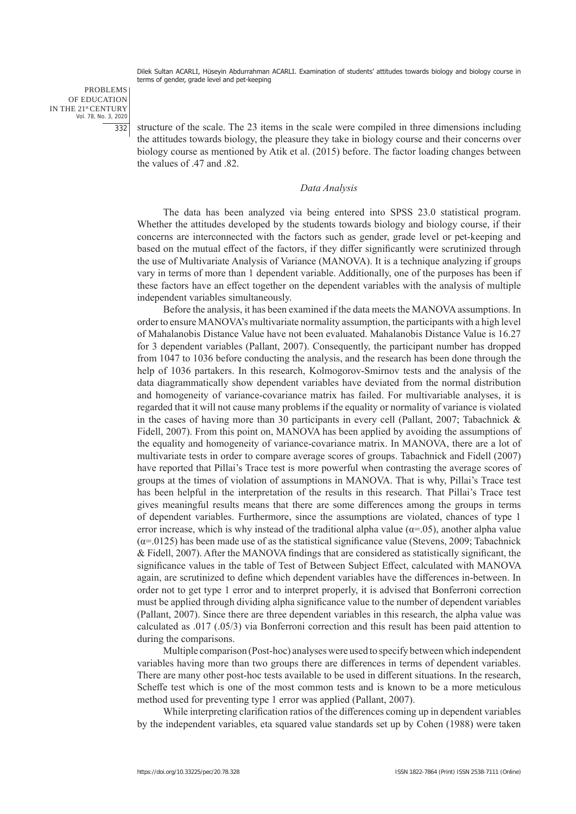PROBLEMS OF EDUCATION IN THE 21st CENTURY Vol. 78, No. 3, 2020 332

structure of the scale. The 23 items in the scale were compiled in three dimensions including the attitudes towards biology, the pleasure they take in biology course and their concerns over biology course as mentioned by Atik et al. (2015) before. The factor loading changes between the values of .47 and .82.

## *Data Analysis*

The data has been analyzed via being entered into SPSS 23.0 statistical program. Whether the attitudes developed by the students towards biology and biology course, if their concerns are interconnected with the factors such as gender, grade level or pet-keeping and based on the mutual effect of the factors, if they differ significantly were scrutinized through the use of Multivariate Analysis of Variance (MANOVA). It is a technique analyzing if groups vary in terms of more than 1 dependent variable. Additionally, one of the purposes has been if these factors have an effect together on the dependent variables with the analysis of multiple independent variables simultaneously.

Before the analysis, it has been examined if the data meets the MANOVA assumptions. In order to ensure MANOVA's multivariate normality assumption, the participants with a high level of Mahalanobis Distance Value have not been evaluated. Mahalanobis Distance Value is 16.27 for 3 dependent variables (Pallant, 2007). Consequently, the participant number has dropped from 1047 to 1036 before conducting the analysis, and the research has been done through the help of 1036 partakers. In this research, Kolmogorov-Smirnov tests and the analysis of the data diagrammatically show dependent variables have deviated from the normal distribution and homogeneity of variance-covariance matrix has failed. For multivariable analyses, it is regarded that it will not cause many problems if the equality or normality of variance is violated in the cases of having more than 30 participants in every cell (Pallant, 2007; Tabachnick  $\&$ Fidell, 2007). From this point on, MANOVA has been applied by avoiding the assumptions of the equality and homogeneity of variance-covariance matrix. In MANOVA, there are a lot of multivariate tests in order to compare average scores of groups. Tabachnick and Fidell (2007) have reported that Pillai's Trace test is more powerful when contrasting the average scores of groups at the times of violation of assumptions in MANOVA. That is why, Pillai's Trace test has been helpful in the interpretation of the results in this research. That Pillai's Trace test gives meaningful results means that there are some differences among the groups in terms of dependent variables. Furthermore, since the assumptions are violated, chances of type 1 error increase, which is why instead of the traditional alpha value ( $\alpha$ =.05), another alpha value  $(\alpha = 0125)$  has been made use of as the statistical significance value (Stevens, 2009; Tabachnick & Fidell, 2007). After the MANOVA findings that are considered as statistically significant, the significance values in the table of Test of Between Subject Effect, calculated with MANOVA again, are scrutinized to define which dependent variables have the differences in-between. In order not to get type 1 error and to interpret properly, it is advised that Bonferroni correction must be applied through dividing alpha significance value to the number of dependent variables (Pallant, 2007). Since there are three dependent variables in this research, the alpha value was calculated as .017 (.05/3) via Bonferroni correction and this result has been paid attention to during the comparisons.

Multiple comparison (Post-hoc) analyses were used to specify between which independent variables having more than two groups there are differences in terms of dependent variables. There are many other post-hoc tests available to be used in different situations. In the research, Scheffe test which is one of the most common tests and is known to be a more meticulous method used for preventing type 1 error was applied (Pallant, 2007).

While interpreting clarification ratios of the differences coming up in dependent variables by the independent variables, eta squared value standards set up by Cohen (1988) were taken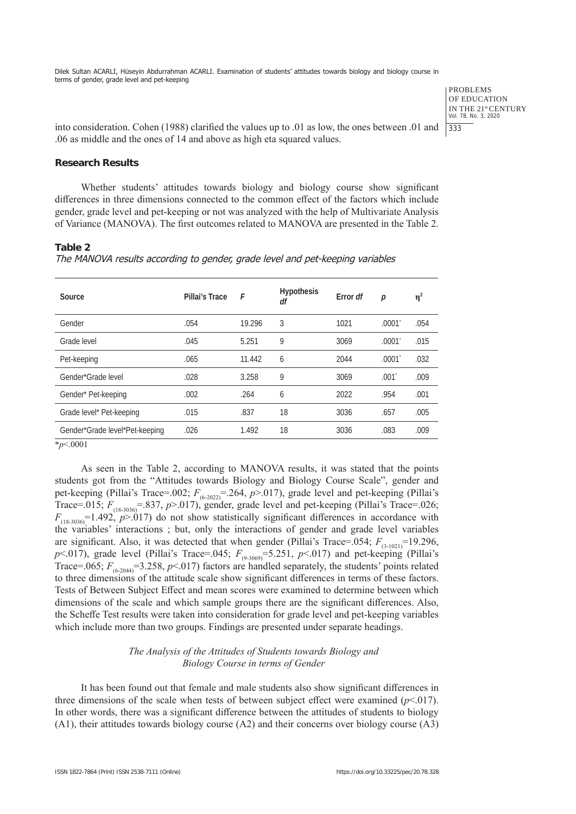into consideration. Cohen (1988) clarified the values up to .01 as low, the ones between .01 and .06 as middle and the ones of 14 and above as high eta squared values.

PROBLEMS OF EDUCATION IN THE 21st CENTURY Vol. 78, No. 3, 2020 333

#### **Research Results**

Whether students' attitudes towards biology and biology course show significant differences in three dimensions connected to the common effect of the factors which include gender, grade level and pet-keeping or not was analyzed with the help of Multivariate Analysis of Variance (MANOVA). The first outcomes related to MANOVA are presented in the Table 2.

#### **Table 2**

The MANOVA results according to gender, grade level and pet-keeping variables

| Source                              | Pillai's Trace | F      | <b>Hypothesis</b><br>df | Error df | р                    | $\eta^2$ |
|-------------------------------------|----------------|--------|-------------------------|----------|----------------------|----------|
| Gender                              | .054           | 19.296 | 3                       | 1021     | $.0001$ <sup>*</sup> | .054     |
| Grade level                         | .045           | 5.251  | 9                       | 3069     | .0001                | .015     |
| Pet-keeping                         | .065           | 11.442 | 6                       | 2044     | .0001                | .032     |
| Gender*Grade level                  | .028           | 3.258  | 9                       | 3069     | $.001$ <sup>-</sup>  | .009     |
| Gender* Pet-keeping                 | .002           | .264   | 6                       | 2022     | .954                 | .001     |
| Grade level* Pet-keeping            | .015           | .837   | 18                      | 3036     | .657                 | .005     |
| Gender*Grade level*Pet-keeping<br>. | .026           | 1.492  | 18                      | 3036     | .083                 | .009     |

\**p*<.0001

As seen in the Table 2, according to MANOVA results, it was stated that the points students got from the "Attitudes towards Biology and Biology Course Scale", gender and pet-keeping (Pillai's Trace=.002;  $F_{(6-2022)}$ =.264, *p*>.017), grade level and pet-keeping (Pillai's Trace=.015;  $F_{(18-3036)}$ =.837, *p*>.017), gender, grade level and pet-keeping (Pillai's Trace=.026;  $F_{(18-3036)}$ =1.492,  $p>017$ ) do not show statistically significant differences in accordance with the variables' interactions ; but, only the interactions of gender and grade level variables are significant. Also, it was detected that when gender (Pillai's Trace=.054;  $F_{(3-1021)}$ =19.296, *p*<.017), grade level (Pillai's Trace=.045;  $F_{(9.3069)} = 5.251$ , *p*<.017) and pet-keeping (Pillai's Trace=.065;  $F_{(6-2044)}$ =3.258,  $p$ <.017) factors are handled separately, the students' points related to three dimensions of the attitude scale show significant differences in terms of these factors. Tests of Between Subject Effect and mean scores were examined to determine between which dimensions of the scale and which sample groups there are the significant differences. Also, the Scheffe Test results were taken into consideration for grade level and pet-keeping variables which include more than two groups. Findings are presented under separate headings.

## *The Analysis of the Attitudes of Students towards Biology and Biology Course in terms of Gender*

It has been found out that female and male students also show significant differences in three dimensions of the scale when tests of between subject effect were examined  $(p<0.17)$ . In other words, there was a significant difference between the attitudes of students to biology (A1), their attitudes towards biology course (A2) and their concerns over biology course (A3)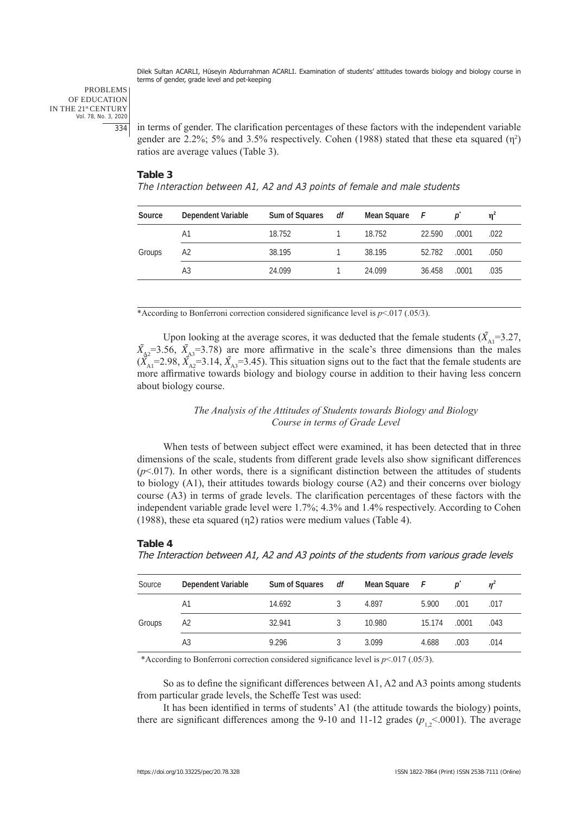PROBLEMS OF EDUCATION IN THE 21st CENTURY Vol. 78, No. 3, 2020 334

in terms of gender. The clarification percentages of these factors with the independent variable gender are 2.2%; 5% and 3.5% respectively. Cohen (1988) stated that these eta squared  $(\eta^2)$ ratios are average values (Table 3).

#### **Table 3**

The Interaction between A1, A2 and A3 points of female and male students

| Source | Dependent Variable | Sum of Squares df | Mean Square F |        |       | $\mathbf{n}^2$ |
|--------|--------------------|-------------------|---------------|--------|-------|----------------|
| Groups | Α1                 | 18.752            | 18.752        | 22.590 | .0001 | .022           |
|        | А2                 | 38.195            | 38.195        | 52.782 | .0001 | .050           |
|        | A3                 | 24.099            | 24.099        | 36.458 | .0001 | .035           |

\*According to Bonferroni correction considered significance level is *p*<.017 (.05/3).

Upon looking at the average scores, it was deducted that the female students  $(\bar{X}_{\text{Al}}=3.27,$  $\bar{X}_{\Delta^2}$ =3.56,  $\bar{X}_{\Delta^3}$ =3.78) are more affirmative in the scale's three dimensions than the males  $(\overline{X}_{A1}^{\text{I}}=2.98, \overline{X}_{A2}^{\text{I}}=3.14, \overline{X}_{A3}=3.45)$ . This situation signs out to the fact that the female students are more affirmative towards biology and biology course in addition to their having less concern about biology course.

## *The Analysis of the Attitudes of Students towards Biology and Biology Course in terms of Grade Level*

When tests of between subject effect were examined, it has been detected that in three dimensions of the scale, students from different grade levels also show significant differences  $(p<0.017)$ . In other words, there is a significant distinction between the attitudes of students to biology (A1), their attitudes towards biology course (A2) and their concerns over biology course (A3) in terms of grade levels. The clarification percentages of these factors with the independent variable grade level were 1.7%; 4.3% and 1.4% respectively. According to Cohen (1988), these eta squared (η2) ratios were medium values (Table 4).

#### **Table 4**

The Interaction between A1, A2 and A3 points of the students from various grade levels

| Source | Dependent Variable | Sum of Squares | df | Mean Square F |        | $\boldsymbol{D}$ | n <sup>2</sup> |
|--------|--------------------|----------------|----|---------------|--------|------------------|----------------|
| Groups | A <sub>1</sub>     | 14.692         |    | 4.897         | 5.900  | .001             | .017           |
|        | A2                 | 32.941         |    | 10.980        | 15.174 | .0001            | .043           |
|        | A3                 | 9.296          |    | 3.099         | 4.688  | .003             | .014           |

\*According to Bonferroni correction considered significance level is *p*<.017 (.05/3).

So as to define the significant differences between A1, A2 and A3 points among students from particular grade levels, the Scheffe Test was used:

It has been identified in terms of students' A1 (the attitude towards the biology) points, there are significant differences among the 9-10 and 11-12 grades  $(p_1, 0.001)$ . The average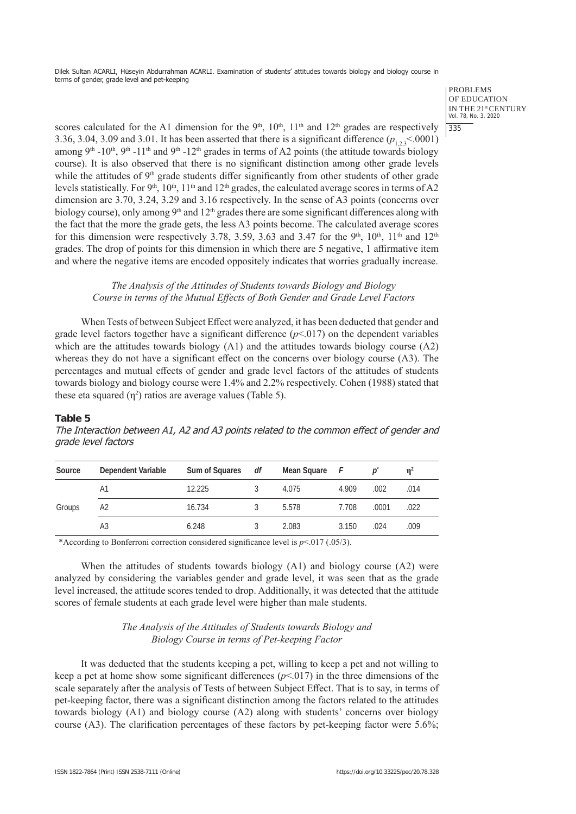> PROBLEMS OF EDUCATION IN THE 21st CENTURY Vol. 78, No. 3, 2020 335

scores calculated for the A1 dimension for the 9<sup>th</sup>, 10<sup>th</sup>, 11<sup>th</sup> and 12<sup>th</sup> grades are respectively 3.36, 3.04, 3.09 and 3.01. It has been asserted that there is a significant difference  $(p_{1,2}, \le 0.001)$ among  $9<sup>th</sup> -10<sup>th</sup>$ ,  $9<sup>th</sup> -11<sup>th</sup>$  and  $9<sup>th</sup> -12<sup>th</sup>$  grades in terms of A2 points (the attitude towards biology course). It is also observed that there is no significant distinction among other grade levels while the attitudes of  $9<sup>th</sup>$  grade students differ significantly from other students of other grade levels statistically. For 9<sup>th</sup>, 10<sup>th</sup>, 11<sup>th</sup> and 12<sup>th</sup> grades, the calculated average scores in terms of A2 dimension are 3.70, 3.24, 3.29 and 3.16 respectively. In the sense of A3 points (concerns over biology course), only among  $9<sup>th</sup>$  and  $12<sup>th</sup>$  grades there are some significant differences along with the fact that the more the grade gets, the less A3 points become. The calculated average scores for this dimension were respectively 3.78, 3.59, 3.63 and 3.47 for the 9<sup>th</sup>, 10<sup>th</sup>, 11<sup>th</sup> and 12<sup>th</sup> grades. The drop of points for this dimension in which there are 5 negative, 1 affirmative item and where the negative items are encoded oppositely indicates that worries gradually increase.

## *The Analysis of the Attitudes of Students towards Biology and Biology Course in terms of the Mutual Effects of Both Gender and Grade Level Factors*

When Tests of between Subject Effect were analyzed, it has been deducted that gender and grade level factors together have a significant difference  $(p<.017)$  on the dependent variables which are the attitudes towards biology (A1) and the attitudes towards biology course (A2) whereas they do not have a significant effect on the concerns over biology course (A3). The percentages and mutual effects of gender and grade level factors of the attitudes of students towards biology and biology course were 1.4% and 2.2% respectively. Cohen (1988) stated that these eta squared  $(\eta^2)$  ratios are average values (Table 5).

#### **Table 5**

| Source | Dependent Variable | Sum of Squares | df | Mean Square | F     |       | $\mathbf{n}^2$ |
|--------|--------------------|----------------|----|-------------|-------|-------|----------------|
| Groups | A1                 | 12.225         |    | 4.075       | 4.909 | .002  | .014           |
|        | A2                 | 16.734         |    | 5.578       | 7.708 | .0001 | .022           |
|        | A3                 | 6.248          |    | 2.083       | 3.150 | .024  | .009           |

The Interaction between A1, A2 and A3 points related to the common effect of gender and grade level factors

\*According to Bonferroni correction considered significance level is *p*<.017 (.05/3).

When the attitudes of students towards biology (A1) and biology course (A2) were analyzed by considering the variables gender and grade level, it was seen that as the grade level increased, the attitude scores tended to drop. Additionally, it was detected that the attitude scores of female students at each grade level were higher than male students.

## *The Analysis of the Attitudes of Students towards Biology and Biology Course in terms of Pet-keeping Factor*

It was deducted that the students keeping a pet, willing to keep a pet and not willing to keep a pet at home show some significant differences  $(p<017)$  in the three dimensions of the scale separately after the analysis of Tests of between Subject Effect. That is to say, in terms of pet-keeping factor, there was a significant distinction among the factors related to the attitudes towards biology (A1) and biology course (A2) along with students' concerns over biology course (A3). The clarification percentages of these factors by pet-keeping factor were 5.6%;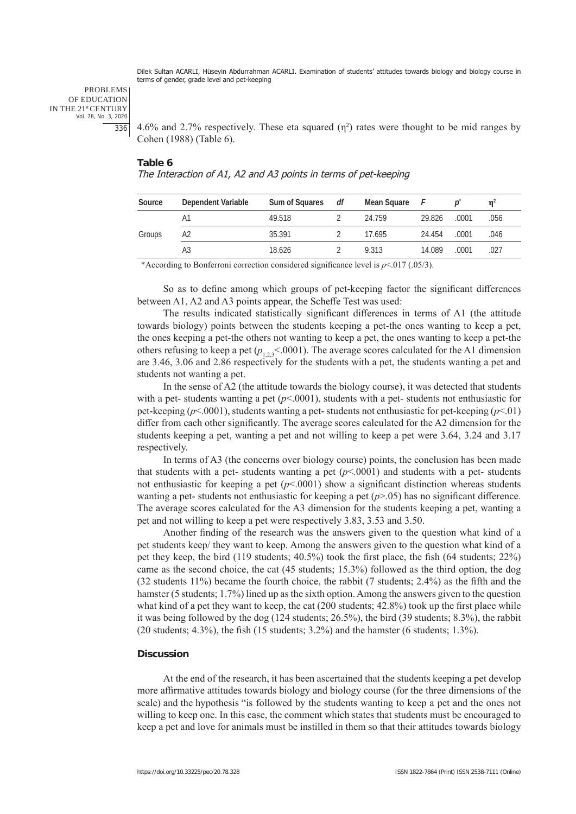PROBLEMS OF EDUCATION IN THE 21st CENTURY Vol. 78, No. 3, 2020 336

4.6% and 2.7% respectively. These eta squared  $(\eta^2)$  rates were thought to be mid ranges by Cohen (1988) (Table 6).

#### **Table 6**

|  |  |  | The Interaction of A1, A2 and A3 points in terms of pet-keeping |
|--|--|--|-----------------------------------------------------------------|
|  |  |  |                                                                 |

| Source | Dependent Variable | Sum of Squares | df | Mean Square F |        |       | $\mathbf{n}^2$ |
|--------|--------------------|----------------|----|---------------|--------|-------|----------------|
| Groups | Α1                 | 49.518         |    | 24.759        | 29.826 | .0001 | .056           |
|        | А2                 | 35.391         |    | 17.695        | 24.454 | .0001 | .046           |
|        | A3                 | 18.626         |    | 9.313         | 14.089 | .0001 | .027           |

\*According to Bonferroni correction considered significance level is *p*<.017 (.05/3).

So as to define among which groups of pet-keeping factor the significant differences between A1, A2 and A3 points appear, the Scheffe Test was used:

The results indicated statistically significant differences in terms of A1 (the attitude towards biology) points between the students keeping a pet-the ones wanting to keep a pet, the ones keeping a pet-the others not wanting to keep a pet, the ones wanting to keep a pet-the others refusing to keep a pet  $(p_{1,2}, \le 0.001)$ . The average scores calculated for the A1 dimension are 3.46, 3.06 and 2.86 respectively for the students with a pet, the students wanting a pet and students not wanting a pet.

In the sense of A2 (the attitude towards the biology course), it was detected that students with a pet- students wanting a pet  $(p< .0001)$ , students with a pet- students not enthusiastic for pet-keeping ( $p$ <.0001), students wanting a pet- students not enthusiastic for pet-keeping ( $p$ <.01) differ from each other significantly. The average scores calculated for the A2 dimension for the students keeping a pet, wanting a pet and not willing to keep a pet were 3.64, 3.24 and 3.17 respectively.

In terms of A3 (the concerns over biology course) points, the conclusion has been made that students with a pet- students wanting a pet  $(p<.0001)$  and students with a pet- students not enthusiastic for keeping a pet  $(p<.0001)$  show a significant distinction whereas students wanting a pet- students not enthusiastic for keeping a pet  $(p>0.05)$  has no significant difference. The average scores calculated for the A3 dimension for the students keeping a pet, wanting a pet and not willing to keep a pet were respectively 3.83, 3.53 and 3.50.

Another finding of the research was the answers given to the question what kind of a pet students keep/ they want to keep. Among the answers given to the question what kind of a pet they keep, the bird (119 students; 40.5%) took the first place, the fish (64 students; 22%) came as the second choice, the cat (45 students; 15.3%) followed as the third option, the dog (32 students 11%) became the fourth choice, the rabbit (7 students; 2.4%) as the fifth and the hamster (5 students; 1.7%) lined up as the sixth option. Among the answers given to the question what kind of a pet they want to keep, the cat (200 students; 42.8%) took up the first place while it was being followed by the dog (124 students; 26.5%), the bird (39 students; 8.3%), the rabbit (20 students; 4.3%), the fish (15 students; 3.2%) and the hamster (6 students; 1.3%).

#### **Discussion**

At the end of the research, it has been ascertained that the students keeping a pet develop more affirmative attitudes towards biology and biology course (for the three dimensions of the scale) and the hypothesis "is followed by the students wanting to keep a pet and the ones not willing to keep one. In this case, the comment which states that students must be encouraged to keep a pet and love for animals must be instilled in them so that their attitudes towards biology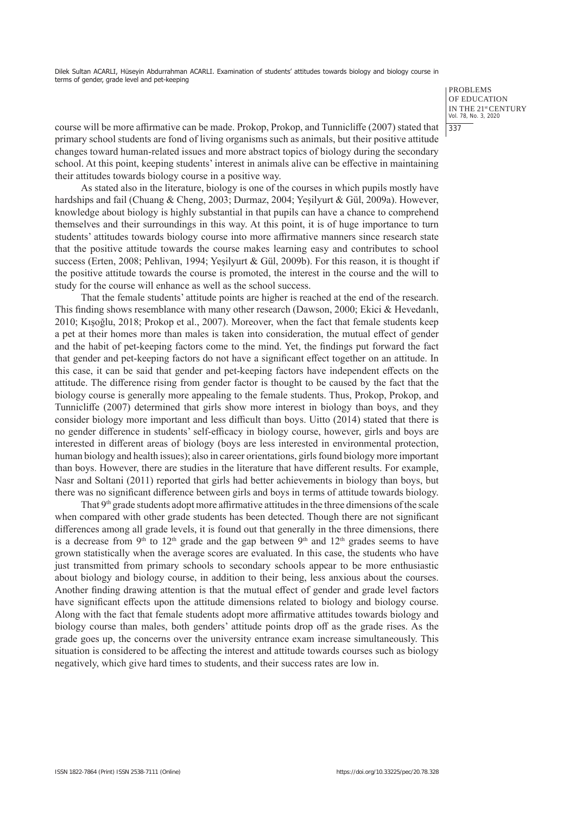> PROBLEMS OF EDUCATION IN THE 21st CENTURY Vol. 78, No. 3, 2020 337

course will be more affirmative can be made. Prokop, Prokop, and Tunnicliffe (2007) stated that primary school students are fond of living organisms such as animals, but their positive attitude changes toward human-related issues and more abstract topics of biology during the secondary school. At this point, keeping students' interest in animals alive can be effective in maintaining their attitudes towards biology course in a positive way.

As stated also in the literature, biology is one of the courses in which pupils mostly have hardships and fail (Chuang & Cheng, 2003; Durmaz, 2004; Yeşilyurt & Gül, 2009a). However, knowledge about biology is highly substantial in that pupils can have a chance to comprehend themselves and their surroundings in this way. At this point, it is of huge importance to turn students' attitudes towards biology course into more affirmative manners since research state that the positive attitude towards the course makes learning easy and contributes to school success (Erten, 2008; Pehlivan, 1994; Yeşilyurt & Gül, 2009b). For this reason, it is thought if the positive attitude towards the course is promoted, the interest in the course and the will to study for the course will enhance as well as the school success.

That the female students' attitude points are higher is reached at the end of the research. This finding shows resemblance with many other research (Dawson, 2000; Ekici & Hevedanlı, 2010; Kışoğlu, 2018; Prokop et al., 2007). Moreover, when the fact that female students keep a pet at their homes more than males is taken into consideration, the mutual effect of gender and the habit of pet-keeping factors come to the mind. Yet, the findings put forward the fact that gender and pet-keeping factors do not have a significant effect together on an attitude. In this case, it can be said that gender and pet-keeping factors have independent effects on the attitude. The difference rising from gender factor is thought to be caused by the fact that the biology course is generally more appealing to the female students. Thus, Prokop, Prokop, and Tunnicliffe (2007) determined that girls show more interest in biology than boys, and they consider biology more important and less difficult than boys. Uitto (2014) stated that there is no gender difference in students' self-efficacy in biology course, however, girls and boys are interested in different areas of biology (boys are less interested in environmental protection, human biology and health issues); also in career orientations, girls found biology more important than boys. However, there are studies in the literature that have different results. For example, Nasr and Soltani (2011) reported that girls had better achievements in biology than boys, but there was no significant difference between girls and boys in terms of attitude towards biology.

That  $9<sup>th</sup>$  grade students adopt more affirmative attitudes in the three dimensions of the scale when compared with other grade students has been detected. Though there are not significant differences among all grade levels, it is found out that generally in the three dimensions, there is a decrease from 9<sup>th</sup> to 12<sup>th</sup> grade and the gap between 9<sup>th</sup> and 12<sup>th</sup> grades seems to have grown statistically when the average scores are evaluated. In this case, the students who have just transmitted from primary schools to secondary schools appear to be more enthusiastic about biology and biology course, in addition to their being, less anxious about the courses. Another finding drawing attention is that the mutual effect of gender and grade level factors have significant effects upon the attitude dimensions related to biology and biology course. Along with the fact that female students adopt more affirmative attitudes towards biology and biology course than males, both genders' attitude points drop off as the grade rises. As the grade goes up, the concerns over the university entrance exam increase simultaneously. This situation is considered to be affecting the interest and attitude towards courses such as biology negatively, which give hard times to students, and their success rates are low in.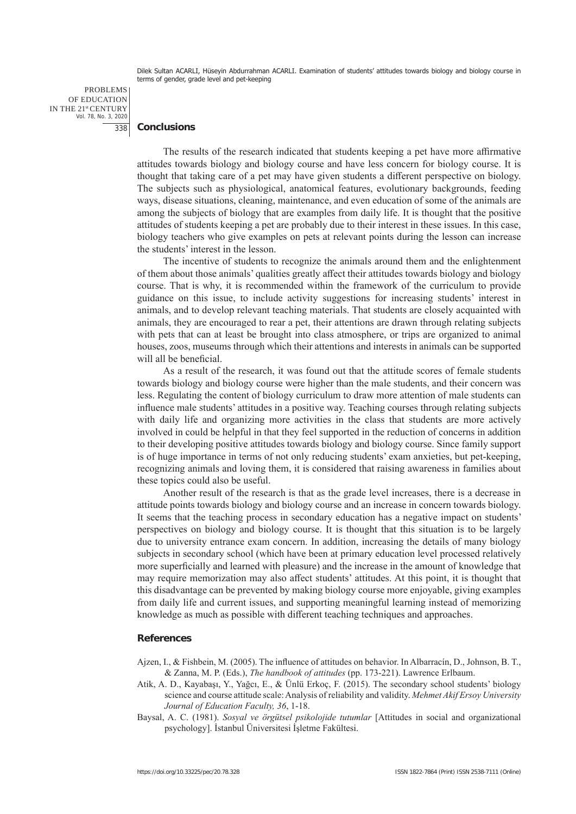PROBLEMS OF EDUCATION IN THE 21st CENTURY Vol. 78, No. 3, 2020 338

#### **Conclusions**

The results of the research indicated that students keeping a pet have more affirmative attitudes towards biology and biology course and have less concern for biology course. It is thought that taking care of a pet may have given students a different perspective on biology. The subjects such as physiological, anatomical features, evolutionary backgrounds, feeding ways, disease situations, cleaning, maintenance, and even education of some of the animals are among the subjects of biology that are examples from daily life. It is thought that the positive attitudes of students keeping a pet are probably due to their interest in these issues. In this case, biology teachers who give examples on pets at relevant points during the lesson can increase the students' interest in the lesson.

The incentive of students to recognize the animals around them and the enlightenment of them about those animals' qualities greatly affect their attitudes towards biology and biology course. That is why, it is recommended within the framework of the curriculum to provide guidance on this issue, to include activity suggestions for increasing students' interest in animals, and to develop relevant teaching materials. That students are closely acquainted with animals, they are encouraged to rear a pet, their attentions are drawn through relating subjects with pets that can at least be brought into class atmosphere, or trips are organized to animal houses, zoos, museums through which their attentions and interests in animals can be supported will all be beneficial.

As a result of the research, it was found out that the attitude scores of female students towards biology and biology course were higher than the male students, and their concern was less. Regulating the content of biology curriculum to draw more attention of male students can influence male students' attitudes in a positive way. Teaching courses through relating subjects with daily life and organizing more activities in the class that students are more actively involved in could be helpful in that they feel supported in the reduction of concerns in addition to their developing positive attitudes towards biology and biology course. Since family support is of huge importance in terms of not only reducing students' exam anxieties, but pet-keeping, recognizing animals and loving them, it is considered that raising awareness in families about these topics could also be useful.

Another result of the research is that as the grade level increases, there is a decrease in attitude points towards biology and biology course and an increase in concern towards biology. It seems that the teaching process in secondary education has a negative impact on students' perspectives on biology and biology course. It is thought that this situation is to be largely due to university entrance exam concern. In addition, increasing the details of many biology subjects in secondary school (which have been at primary education level processed relatively more superficially and learned with pleasure) and the increase in the amount of knowledge that may require memorization may also affect students' attitudes. At this point, it is thought that this disadvantage can be prevented by making biology course more enjoyable, giving examples from daily life and current issues, and supporting meaningful learning instead of memorizing knowledge as much as possible with different teaching techniques and approaches.

#### **References**

- Ajzen, I., & Fishbein, M. (2005). The influence of attitudes on behavior. In Albarracín, D., Johnson, B. T., & Zanna, M. P. (Eds.), *The handbook of attitudes* (pp. 173-221). Lawrence Erlbaum.
- Atik, A. D., Kayabaşı, Y., Yağcı, E., & Ünlü Erkoç, F. (2015). The secondary school students' biology science and course attitude scale: Analysis of reliability and validity. *Mehmet Akif Ersoy University Journal of Education Faculty, 36*, 1-18.
- Baysal, A. C. (1981). *Sosyal ve örgütsel psikolojide tutumlar* [Attitudes in social and organizational psychology]. İstanbul Üniversitesi İşletme Fakültesi.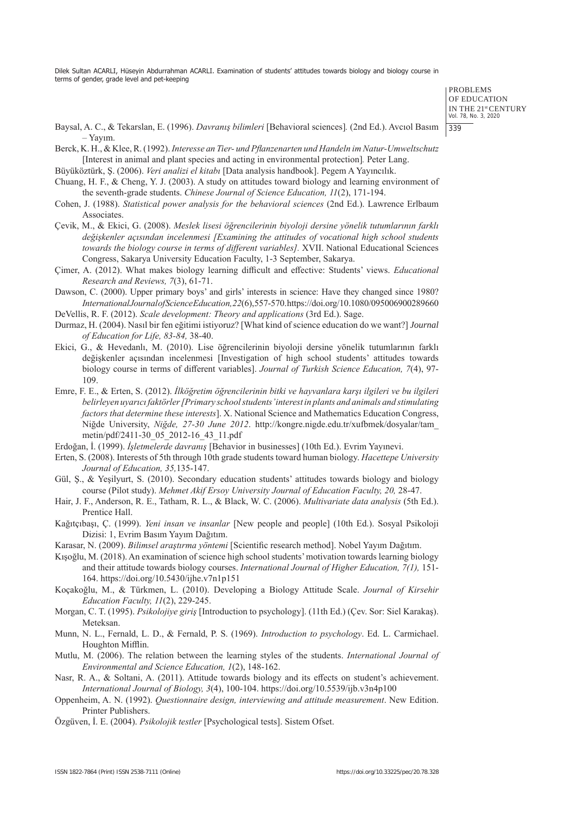> PROBLEMS OF EDUCATION IN THE 21st CENTURY Vol. 78, No. 3, 2020 339

- Baysal, A. C., & Tekarslan, E. (1996). *Davranış bilimleri* [Behavioral sciences]*.* (2nd Ed.). Avcıol Basım – Yayım.
- Berck, K. H., & Klee, R. (1992). *Interesse an Tier- und Pflanzenarten und Handeln im Natur-Umweltschutz*  [Interest in animal and plant species and acting in environmental protection]*.* Peter Lang.
- Büyüköztürk, Ş. (2006). *Veri analizi el kitabı* [Data analysis handbook]. Pegem A Yayıncılık.
- Chuang, H. F., & Cheng, Y. J. (2003). A study on attitudes toward biology and learning environment of the seventh-grade students. *Chinese Journal of Science Education, 11*(2), 171-194.
- Cohen, J. (1988). *Statistical power analysis for the behavioral sciences* (2nd Ed.). Lawrence Erlbaum Associates.
- Çevik, M., & Ekici, G. (2008). *Meslek lisesi öğrencilerinin biyoloji dersine yönelik tutumlarının farklı değişkenler açısından incelenmesi [Examining the attitudes of vocational high school students towards the biology course in terms of different variables].* XVII. National Educational Sciences Congress, Sakarya University Education Faculty, 1-3 September, Sakarya.
- Çimer, A. (2012). What makes biology learning difficult and effective: Students' views. *Educational Research and Reviews, 7*(3), 61-71.
- Dawson, C. (2000). Upper primary boys' and girls' interests in science: Have they changed since 1980? *International Journal of Science Education, 22*(6), 557-570. https://doi.org/10.1080/095006900289660
- DeVellis, R. F. (2012). *Scale development: Theory and applications* (3rd Ed.). Sage.
- Durmaz, H. (2004). Nasıl bir fen eğitimi istiyoruz? [What kind of science education do we want?] *Journal of Education for Life, 83-84,* 38-40.
- Ekici, G., & Hevedanlı, M. (2010). Lise öğrencilerinin biyoloji dersine yönelik tutumlarının farklı değişkenler açısından incelenmesi [Investigation of high school students' attitudes towards biology course in terms of different variables]. *Journal of Turkish Science Education, 7*(4), 97- 109.
- Emre, F. E., & Erten, S. (2012). *İlköğretim öğrencilerinin bitki ve hayvanlara karşı ilgileri ve bu ilgileri belirleyen uyarıcı faktörler [Primary school students' interest in plants and animals and stimulating factors that determine these interests*]. X. National Science and Mathematics Education Congress, Niğde University, *Niğde, 27-30 June 2012*. http://kongre.nigde.edu.tr/xufbmek/dosyalar/tam\_ metin/pdf/2411-30\_05\_2012-16\_43\_11.pdf
- Erdoğan, İ. (1999). *İşletmelerde davranış* [Behavior in businesses] (10th Ed.). Evrim Yayınevi.
- Erten, S. (2008). Interests of 5th through 10th grade students toward human biology. *Hacettepe University Journal of Education, 35,*135-147.
- Gül, Ş., & Yeşilyurt, S. (2010). Secondary education students' attitudes towards biology and biology course (Pilot study). *Mehmet Akif Ersoy University Journal of Education Faculty, 20,* 28-47.
- Hair, J. F., Anderson, R. E., Tatham, R. L., & Black, W. C. (2006). *Multivariate data analysis* (5th Ed.). Prentice Hall.
- Kağıtçıbaşı, Ç. (1999). *Yeni insan ve insanlar* [New people and people] (10th Ed.). Sosyal Psikoloji Dizisi: 1, Evrim Basım Yayım Dağıtım.
- Karasar, N. (2009). *Bilimsel araştırma yöntemi* [Scientific research method]. Nobel Yayım Dağıtım.
- Kışoğlu, M. (2018). An examination of science high school students' motivation towards learning biology and their attitude towards biology courses. *International Journal of Higher Education, 7(1),* 151- 164. https://doi.org/10.5430/ijhe.v7n1p151
- Koçakoğlu, M., & Türkmen, L. (2010). Developing a Biology Attitude Scale. *Journal of Kirsehir Education Faculty, 11*(2), 229-245.
- Morgan, C. T. (1995). *Psikolojiye giriş* [Introduction to psychology]. (11th Ed.) (Çev. Sor: Siel Karakaş). Meteksan.
- Munn, N. L., Fernald, L. D., & Fernald, P. S. (1969). *Introduction to psychology*. Ed. L. Carmichael. Houghton Mifflin.
- Mutlu, M. (2006). The relation between the learning styles of the students. *International Journal of Environmental and Science Education, 1*(2), 148-162.
- Nasr, R. A., & Soltani, A. (2011). Attitude towards biology and its effects on student's achievement. *International Journal of Biology, 3*(4), 100-104. https://doi.org/10.5539/ijb.v3n4p100
- Oppenheim, A. N. (1992). *Questionnaire design, interviewing and attitude measurement*. New Edition. Printer Publishers.
- Özgüven, İ. E. (2004). *Psikolojik testler* [Psychological tests]. Sistem Ofset.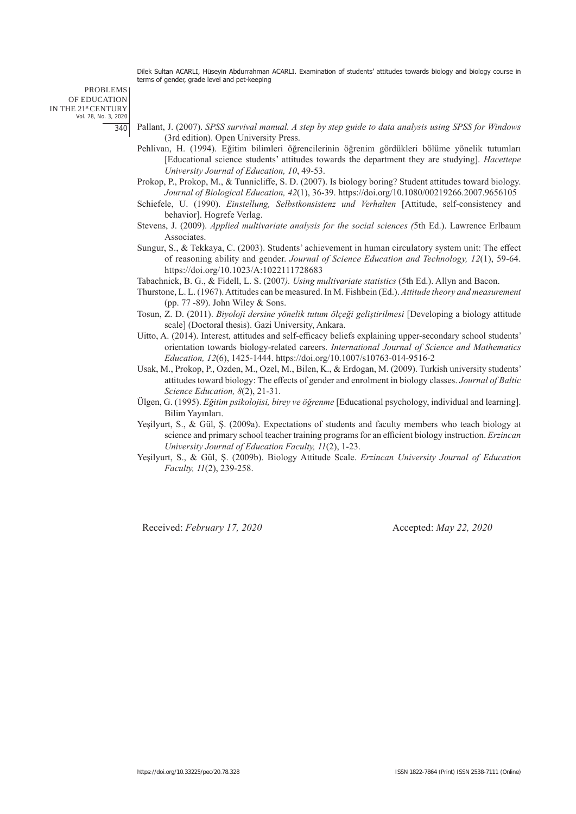PROBLEMS OF EDUCATION IN THE 21st CENTURY Vol. 78, No. 3, 2020 340

- Pallant, J. (2007). *SPSS survival manual. A step by step guide to data analysis using SPSS for Windows* (3rd edition). Open University Press.
	- Pehlivan, H. (1994). Eğitim bilimleri öğrencilerinin öğrenim gördükleri bölüme yönelik tutumları [Educational science students' attitudes towards the department they are studying]. *Hacettepe University Journal of Education, 10*, 49-53.
	- Prokop, P., Prokop, M., & Tunnicliffe, S. D. (2007). Is biology boring? Student attitudes toward biology. *Journal of Biological Education, 42*(1), 36-39. https://doi.org/10.1080/00219266.2007.9656105
	- Schiefele, U. (1990). *Einstellung, Selbstkonsistenz und Verhalten* [Attitude, self-consistency and behavior]. Hogrefe Verlag.
	- Stevens, J. (2009). *Applied multivariate analysis for the social sciences (*5th Ed.). Lawrence Erlbaum Associates.
	- Sungur, S., & Tekkaya, C. (2003). Students' achievement in human circulatory system unit: The effect of reasoning ability and gender. *Journal of Science Education and Technology, 12*(1), 59-64. https://doi.org/10.1023/A:1022111728683

Tabachnick, B. G., & Fidell, L. S. (2007*). Using multivariate statistics* (5th Ed.). Allyn and Bacon.

- Thurstone, L. L. (1967). Attitudes can be measured. In M. Fishbein (Ed.). *Attitude theory and measurement*  (pp. 77 -89). John Wiley & Sons.
- Tosun, Z. D. (2011). *Biyoloji dersine yönelik tutum ölçeği geliştirilmesi* [Developing a biology attitude scale] (Doctoral thesis). Gazi University, Ankara.
- Uitto, A. (2014). Interest, attitudes and self-efficacy beliefs explaining upper-secondary school students' orientation towards biology-related careers. *International Journal of Science and Mathematics Education, 12*(6), 1425-1444. https://doi.org/10.1007/s10763-014-9516-2
- Usak, M., Prokop, P., Ozden, M., Ozel, M., Bilen, K., & Erdogan, M. (2009). Turkish university students' attitudes toward biology: The effects of gender and enrolment in biology classes. *Journal of Baltic Science Education, 8*(2), 21-31.
- Ülgen, G. (1995). *Eğitim psikolojisi, birey ve öğrenme* [Educational psychology, individual and learning]. Bilim Yayınları.
- Yeşilyurt, S., & Gül, Ş. (2009a). Expectations of students and faculty members who teach biology at science and primary school teacher training programs for an efficient biology instruction. *Erzincan University Journal of Education Faculty, 11*(2), 1-23.
- Yeşilyurt, S., & Gül, Ş. (2009b). Biology Attitude Scale. *Erzincan University Journal of Education Faculty, 11*(2), 239-258.

Received: *February 17, 2020* Accepted: *May 22, 2020*